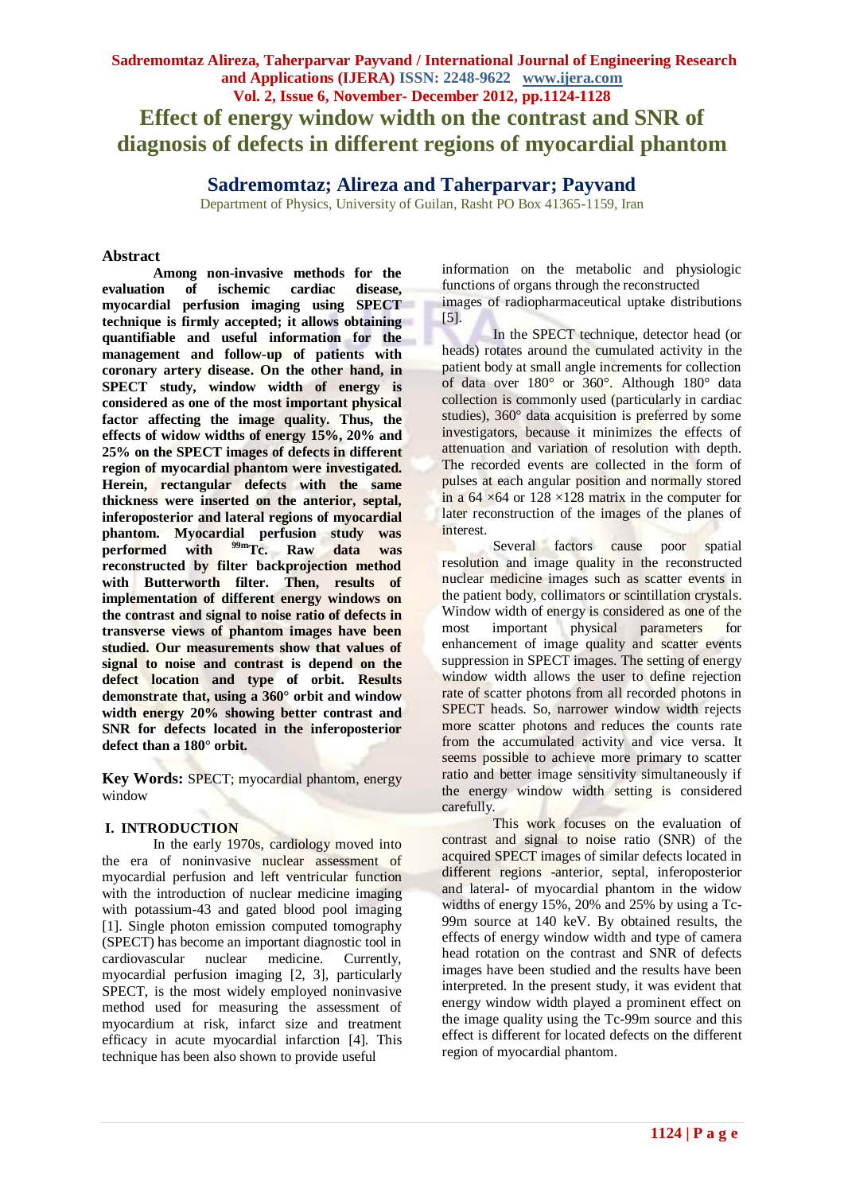# **Sadremomtaz Alireza, Taherparvar Payvand / International Journal of Engineering Research and Applications (IJERA) ISSN: 2248-9622 www.ijera.com Vol. 2, Issue 6, November- December 2012, pp.1124-1128 Effect of energy window width on the contrast and SNR of diagnosis of defects in different regions of myocardial phantom**

# **Sadremomtaz; Alireza and Taherparvar; Payvand**

Department of Physics, University of Guilan, Rasht PO Box 41365-1159, Iran

#### **Abstract**

**Among non-invasive methods for the evaluation of ischemic cardiac disease, myocardial perfusion imaging using SPECT technique is firmly accepted; it allows obtaining quantifiable and useful information for the management and follow-up of patients with coronary artery disease. On the other hand, in SPECT study, window width of energy is considered as one of the most important physical factor affecting the image quality. Thus, the effects of widow widths of energy 15%, 20% and 25% on the SPECT images of defects in different region of myocardial phantom were investigated. Herein, rectangular defects with the same thickness were inserted on the anterior, septal, inferoposterior and lateral regions of myocardial phantom. Myocardial perfusion study was performed with 99mTc. Raw data was reconstructed by filter backprojection method with Butterworth filter. Then, results of implementation of different energy windows on the contrast and signal to noise ratio of defects in transverse views of phantom images have been studied. Our measurements show that values of signal to noise and contrast is depend on the defect location and type of orbit. Results demonstrate that, using a 360° orbit and window width energy 20% showing better contrast and SNR for defects located in the inferoposterior defect than a 180° orbit.**

**Key Words:** SPECT; myocardial phantom, energy window

#### **I. INTRODUCTION**

In the early 1970s, cardiology moved into the era of noninvasive nuclear assessment of myocardial perfusion and left ventricular function with the introduction of nuclear medicine imaging with potassium-43 and gated blood pool imaging [1]. Single photon emission computed tomography (SPECT) has become an important diagnostic tool in cardiovascular nuclear medicine. Currently, myocardial perfusion imaging [2, 3], particularly SPECT, is the most widely employed noninvasive method used for measuring the assessment of myocardium at risk, infarct size and treatment efficacy in acute myocardial infarction [4]. This technique has been also shown to provide useful

information on the metabolic and physiologic functions of organs through the reconstructed images of radiopharmaceutical uptake distributions

[5]. In the SPECT technique, detector head (or heads) rotates around the cumulated activity in the patient body at small angle increments for collection of data over 180° or 360°. Although 180° data collection is commonly used (particularly in cardiac studies), 360° data acquisition is preferred by some investigators, because it minimizes the effects of attenuation and variation of resolution with depth. The recorded events are collected in the form of pulses at each angular position and normally stored in a 64  $\times$  64 or 128  $\times$ 128 matrix in the computer for later reconstruction of the images of the planes of interest.

Several factors cause poor spatial resolution and image quality in the reconstructed nuclear medicine images such as scatter events in the patient body, collimators or scintillation crystals. Window width of energy is considered as one of the most important physical parameters for enhancement of image quality and scatter events suppression in SPECT images. The setting of energy window width allows the user to define rejection rate of scatter photons from all recorded photons in SPECT heads. So, narrower window width rejects more scatter photons and reduces the counts rate from the accumulated activity and vice versa. It seems possible to achieve more primary to scatter ratio and better image sensitivity simultaneously if the energy window width setting is considered carefully.

This work focuses on the evaluation of contrast and signal to noise ratio (SNR) of the acquired SPECT images of similar defects located in different regions -anterior, septal, inferoposterior and lateral- of myocardial phantom in the widow widths of energy 15%, 20% and 25% by using a Tc-99m source at 140 keV. By obtained results, the effects of energy window width and type of camera head rotation on the contrast and SNR of defects images have been studied and the results have been interpreted. In the present study, it was evident that energy window width played a prominent effect on the image quality using the Tc-99m source and this effect is different for located defects on the different region of myocardial phantom.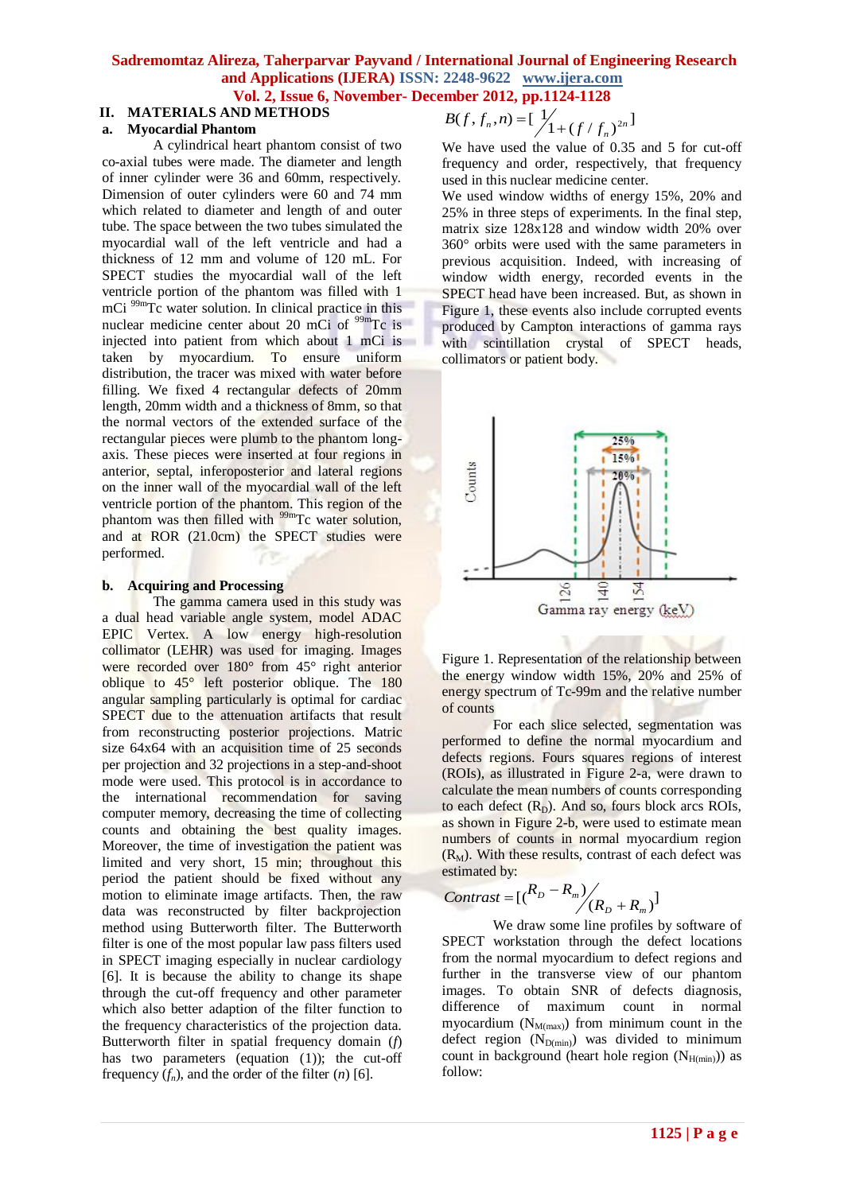# **Sadremomtaz Alireza, Taherparvar Payvand / International Journal of Engineering Research and Applications (IJERA) ISSN: 2248-9622 www.ijera.com**

# **Vol. 2, Issue 6, November- December 2012, pp.1124-1128**

#### **II. MATERIALS AND METHODS a. Myocardial Phantom**

A cylindrical heart phantom consist of two co-axial tubes were made. The diameter and length of inner cylinder were 36 and 60mm, respectively. Dimension of outer cylinders were 60 and 74 mm which related to diameter and length of and outer tube. The space between the two tubes simulated the myocardial wall of the left ventricle and had a thickness of 12 mm and volume of 120 mL. For SPECT studies the myocardial wall of the left ventricle portion of the phantom was filled with 1 mCi <sup>99m</sup>Tc water solution. In clinical practice in this nuclear medicine center about 20 mCi of <sup>99m</sup>Tc is injected into patient from which about 1 mCi is taken by myocardium. To ensure uniform distribution, the tracer was mixed with water before filling. We fixed 4 rectangular defects of 20mm length, 20mm width and a thickness of 8mm, so that the normal vectors of the extended surface of the rectangular pieces were plumb to the phantom longaxis. These pieces were inserted at four regions in anterior, septal, inferoposterior and lateral regions on the inner wall of the myocardial wall of the left ventricle portion of the phantom. This region of the phantom was then filled with  $99<sup>99</sup>$ Tc water solution, and at ROR (21.0cm) the SPECT studies were performed.

### **b. Acquiring and Processing**

The gamma camera used in this study was a dual head variable angle system, model ADAC EPIC Vertex. A low energy high-resolution collimator (LEHR) was used for imaging. Images were recorded over 180° from 45° right anterior oblique to 45° left posterior oblique. The 180 angular sampling particularly is optimal for cardiac SPECT due to the attenuation artifacts that result from reconstructing posterior projections. Matric size 64x64 with an acquisition time of 25 seconds per projection and 32 projections in a step-and-shoot mode were used. This protocol is in accordance to the international recommendation for saving computer memory, decreasing the time of collecting counts and obtaining the best quality images. Moreover, the time of investigation the patient was limited and very short, 15 min; throughout this period the patient should be fixed without any motion to eliminate image artifacts. Then, the raw data was reconstructed by filter backprojection method using Butterworth filter. The Butterworth filter is one of the most popular law pass filters used in SPECT imaging especially in nuclear cardiology [6]. It is because the ability to change its shape through the cut-off frequency and other parameter which also better adaption of the filter function to the frequency characteristics of the projection data. Butterworth filter in spatial frequency domain (*f*) has two parameters (equation (1)); the cut-off frequency  $(f_n)$ , and the order of the filter  $(n)$  [6].

$$
B(f, f_n, n) = \left[\frac{1}{\sqrt{1 + (f / f_n)^{2n}}}\right]
$$

We have used the value of 0.35 and 5 for cut-off frequency and order, respectively, that frequency used in this nuclear medicine center.

We used window widths of energy 15%, 20% and 25% in three steps of experiments. In the final step, matrix size 128x128 and window width 20% over 360° orbits were used with the same parameters in previous acquisition. Indeed, with increasing of window width energy, recorded events in the SPECT head have been increased. But, as shown in Figure 1, these events also include corrupted events produced by Campton interactions of gamma rays with scintillation crystal of SPECT heads, collimators or patient body.



Figure 1. Representation of the relationship between the energy window width 15%, 20% and 25% of energy spectrum of Tc-99m and the relative number of counts

For each slice selected, segmentation was performed to define the normal myocardium and defects regions. Fours squares regions of interest (ROIs), as illustrated in Figure 2-a, were drawn to calculate the mean numbers of counts corresponding to each defect  $(R_D)$ . And so, fours block arcs ROIs, as shown in Figure 2-b, were used to estimate mean numbers of counts in normal myocardium region  $(R_M)$ . With these results, contrast of each defect was estimated by:

$$
Contrast = [(R_D - R_m)/(R_D + R_m)]
$$

We draw some line profiles by software of SPECT workstation through the defect locations from the normal myocardium to defect regions and further in the transverse view of our phantom images. To obtain SNR of defects diagnosis, difference of maximum count in normal myocardium  $(N_{M(max)})$  from minimum count in the defect region  $(N_{D(min)})$  was divided to minimum count in background (heart hole region  $(N_{H(min)})$ ) as follow: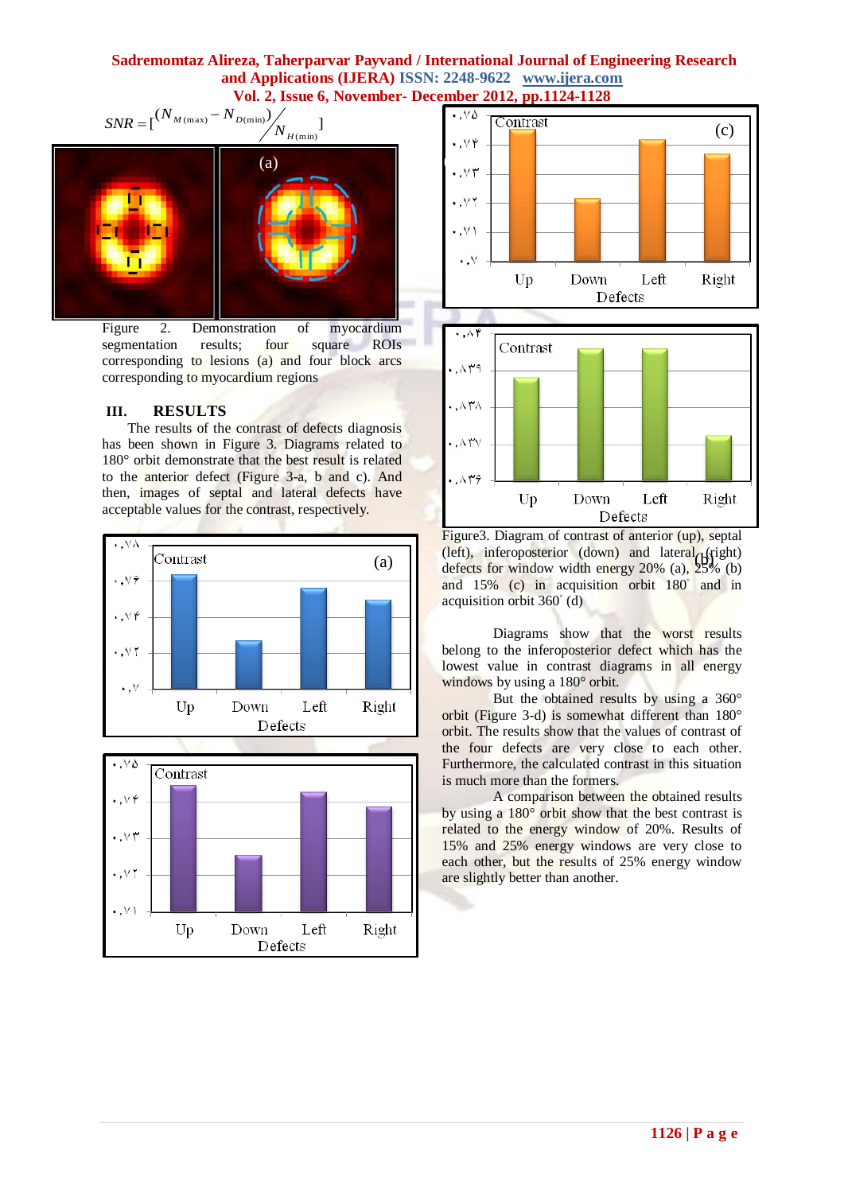## **Sadremomtaz Alireza, Taherparvar Payvand / International Journal of Engineering Research and Applications (IJERA) ISSN: 2248-9622 www.ijera.com Vol. 2, Issue 6, November- December 2012, pp.1124-1128**



Figure 2. Demonstration of myocardium segmentation results; four square ROIs corresponding to lesions (a) and four block arcs corresponding to myocardium regions

### **III. RESULTS**

The results of the contrast of defects diagnosis has been shown in Figure 3. Diagrams related to 180° orbit demonstrate that the best result is related to the anterior defect (Figure 3-a, b and c). And then, images of septal and lateral defects have acceptable values for the contrast, respectively.









Figure3. Diagram of contrast of anterior (up), septal (a)  $\begin{bmatrix} \text{(left)}, & \text{inferoposterior (down)} \text{ and } \text{ lateral} \\ \text{defects for window width energy } 20\% \\ \text{(a)} \end{bmatrix}$ defects for window width energy 20% (a), 25% (b) and 15% (c) in acquisition orbit 180<sup>°</sup> and in acquisition orbit 360◦ (d)

> Diagrams show that the worst results belong to the inferoposterior defect which has the lowest value in contrast diagrams in all energy windows by using a 180° orbit.

> But the obtained results by using a 360° orbit (Figure 3-d) is somewhat different than 180° orbit. The results show that the values of contrast of the four defects are very close to each other. Furthermore, the calculated contrast in this situation is much more than the formers.

> A comparison between the obtained results by using a 180° orbit show that the best contrast is related to the energy window of 20%. Results of 15% and 25% energy windows are very close to each other, but the results of 25% energy window are slightly better than another.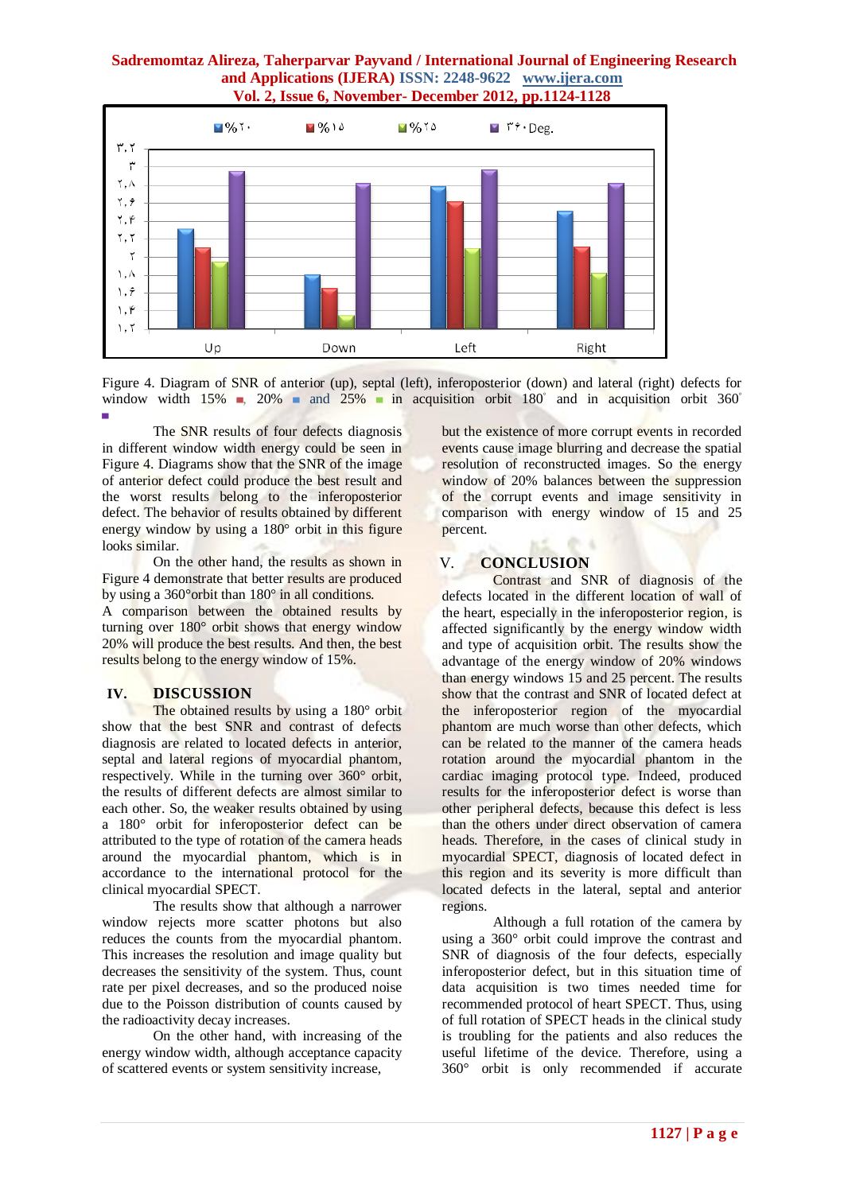## **Sadremomtaz Alireza, Taherparvar Payvand / International Journal of Engineering Research and Applications (IJERA) ISSN: 2248-9622 www.ijera.com Vol. 2, Issue 6, November- December 2012, pp.1124-1128**



Figure 4. Diagram of SNR of anterior (up), septal (left), inferoposterior (down) and lateral (right) defects for window width  $15\%$  ,  $20\%$  and  $25\%$  in acquisition orbit  $180°$  and in acquisition orbit  $360°$ 

▀ The SNR results of four defects diagnosis in different window width energy could be seen in Figure 4. Diagrams show that the SNR of the image of anterior defect could produce the best result and the worst results belong to the inferoposterior defect. The behavior of results obtained by different energy window by using a 180° orbit in this figure looks similar.

On the other hand, the results as shown in Figure 4 demonstrate that better results are produced by using a 360°orbit than 180° in all conditions.

A comparison between the obtained results by turning over 180° orbit shows that energy window 20% will produce the best results. And then, the best results belong to the energy window of 15%.

## **IV. DISCUSSION**

The obtained results by using a 180° orbit show that the best SNR and contrast of defects diagnosis are related to located defects in anterior, septal and lateral regions of myocardial phantom, respectively. While in the turning over 360° orbit, the results of different defects are almost similar to each other. So, the weaker results obtained by using a 180° orbit for inferoposterior defect can be attributed to the type of rotation of the camera heads around the myocardial phantom, which is in accordance to the international protocol for the clinical myocardial SPECT.

The results show that although a narrower window rejects more scatter photons but also reduces the counts from the myocardial phantom. This increases the resolution and image quality but decreases the sensitivity of the system. Thus, count rate per pixel decreases, and so the produced noise due to the Poisson distribution of counts caused by the radioactivity decay increases.

On the other hand, with increasing of the energy window width, although acceptance capacity of scattered events or system sensitivity increase,

but the existence of more corrupt events in recorded events cause image blurring and decrease the spatial resolution of reconstructed images. So the energy window of 20% balances between the suppression of the corrupt events and image sensitivity in comparison with energy window of 15 and 25 percent.

## V. **CONCLUSION**

Contrast and SNR of diagnosis of the defects located in the different location of wall of the heart, especially in the inferoposterior region, is affected significantly by the energy window width and type of acquisition orbit. The results show the advantage of the energy window of 20% windows than energy windows 15 and 25 percent. The results show that the contrast and SNR of located defect at the inferoposterior region of the myocardial phantom are much worse than other defects, which can be related to the manner of the camera heads rotation around the myocardial phantom in the cardiac imaging protocol type. Indeed, produced results for the inferoposterior defect is worse than other peripheral defects, because this defect is less than the others under direct observation of camera heads. Therefore, in the cases of clinical study in myocardial SPECT, diagnosis of located defect in this region and its severity is more difficult than located defects in the lateral, septal and anterior regions.

Although a full rotation of the camera by using a 360° orbit could improve the contrast and SNR of diagnosis of the four defects, especially inferoposterior defect, but in this situation time of data acquisition is two times needed time for recommended protocol of heart SPECT. Thus, using of full rotation of SPECT heads in the clinical study is troubling for the patients and also reduces the useful lifetime of the device. Therefore, using a 360° orbit is only recommended if accurate